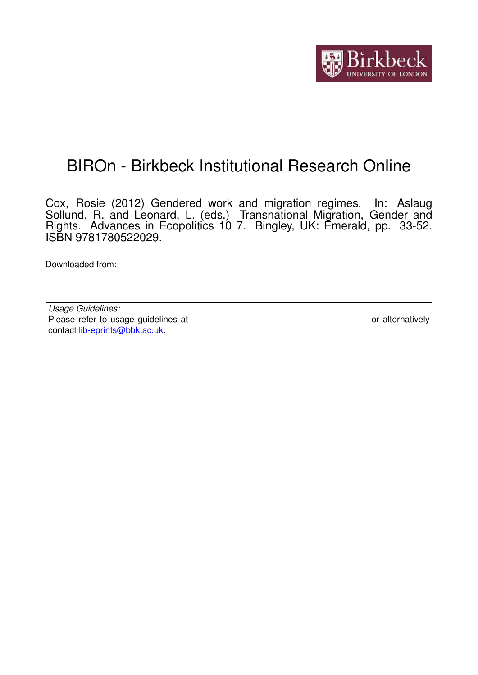

# BIROn - Birkbeck Institutional Research Online

Cox, Rosie (2012) Gendered work and migration regimes. In: Aslaug Sollund, R. and Leonard, L. (eds.) Transnational Migration, Gender and Rights. Advances in Ecopolitics 10 7. Bingley, UK: Emerald, pp. 33-52. ISBN 9781780522029.

Downloaded from: <https://eprints.bbk.ac.uk/id/eprint/4593/>

*Usage Guidelines:* Please refer to usage guidelines at <https://eprints.bbk.ac.uk/policies.html> or alternatively contact [lib-eprints@bbk.ac.uk.](mailto:lib-eprints@bbk.ac.uk)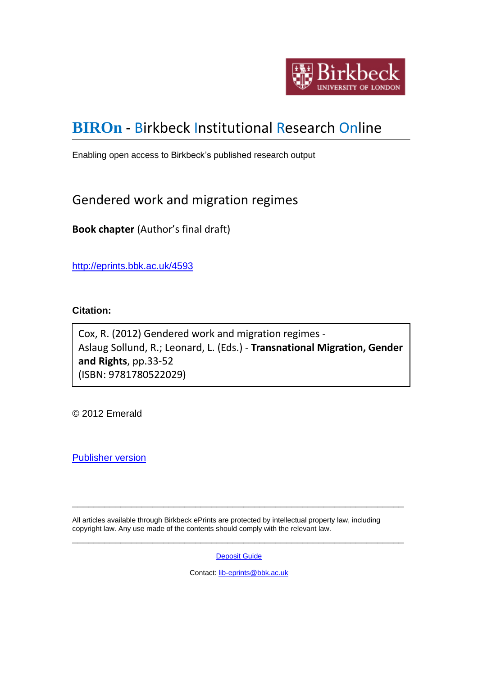

## **[BIROn](http://eprints.bbk.ac.uk/irstats.cgi)** - Birkbeck Institutional Research Online

Enabling open access to Birkbeck's published research output

### Gendered work and migration regimes

**Book chapter** (Author's final draft)

<http://eprints.bbk.ac.uk/4593>

### **Citation:**

Cox, R. (2012) Gendered work and migration regimes - Aslaug Sollund, R.; Leonard, L. (Eds.) - **Transnational Migration, Gender and Rights**, pp.33-52 (ISBN: 9781780522029)

© 2012 Emerald

[Publisher version](http://dx.doi.org/10.1108/S2041-806X(2012)0000010007)

All articles available through Birkbeck ePrints are protected by intellectual property law, including copyright law. Any use made of the contents should comply with the relevant law.

[Deposit Guide](http://eprints.bbk.ac.uk/deposit_guide.html)

\_\_\_\_\_\_\_\_\_\_\_\_\_\_\_\_\_\_\_\_\_\_\_\_\_\_\_\_\_\_\_\_\_\_\_\_\_\_\_\_\_\_\_\_\_\_\_\_\_\_\_\_\_\_\_\_\_\_\_\_\_\_

\_\_\_\_\_\_\_\_\_\_\_\_\_\_\_\_\_\_\_\_\_\_\_\_\_\_\_\_\_\_\_\_\_\_\_\_\_\_\_\_\_\_\_\_\_\_\_\_\_\_\_\_\_\_\_\_\_\_\_\_\_\_

Contact: [lib-eprints@bbk.ac.uk](mailto:lib-eprints@bbk.ac.uk)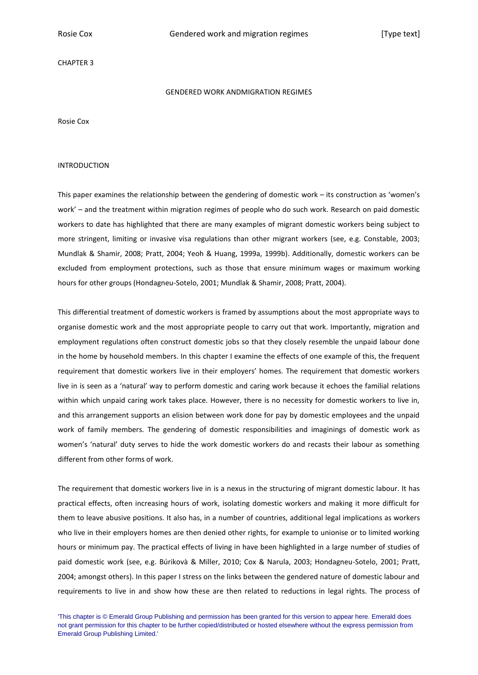CHAPTER 3

#### GENDERED WORK ANDMIGRATION REGIMES

Rosie Cox

#### INTRODUCTION

This paper examines the relationship between the gendering of domestic work – its construction as 'women's work' – and the treatment within migration regimes of people who do such work. Research on paid domestic workers to date has highlighted that there are many examples of migrant domestic workers being subject to more stringent, limiting or invasive visa regulations than other migrant workers (see, e.g. Constable, 2003; Mundlak & Shamir, 2008; Pratt, 2004; Yeoh & Huang, 1999a, 1999b). Additionally, domestic workers can be excluded from employment protections, such as those that ensure minimum wages or maximum working hours for other groups (Hondagneu-Sotelo, 2001; Mundlak & Shamir, 2008; Pratt, 2004).

This differential treatment of domestic workers is framed by assumptions about the most appropriate ways to organise domestic work and the most appropriate people to carry out that work. Importantly, migration and employment regulations often construct domestic jobs so that they closely resemble the unpaid labour done in the home by household members. In this chapter I examine the effects of one example of this, the frequent requirement that domestic workers live in their employers' homes. The requirement that domestic workers live in is seen as a 'natural' way to perform domestic and caring work because it echoes the familial relations within which unpaid caring work takes place. However, there is no necessity for domestic workers to live in, and this arrangement supports an elision between work done for pay by domestic employees and the unpaid work of family members. The gendering of domestic responsibilities and imaginings of domestic work as women's 'natural' duty serves to hide the work domestic workers do and recasts their labour as something different from other forms of work.

The requirement that domestic workers live in is a nexus in the structuring of migrant domestic labour. It has practical effects, often increasing hours of work, isolating domestic workers and making it more difficult for them to leave abusive positions. It also has, in a number of countries, additional legal implications as workers who live in their employers homes are then denied other rights, for example to unionise or to limited working hours or minimum pay. The practical effects of living in have been highlighted in a large number of studies of paid domestic work (see, e.g. Búrikovà & Miller, 2010; Cox & Narula, 2003; Hondagneu-Sotelo, 2001; Pratt, 2004; amongst others). In this paper I stress on the links between the gendered nature of domestic labour and requirements to live in and show how these are then related to reductions in legal rights. The process of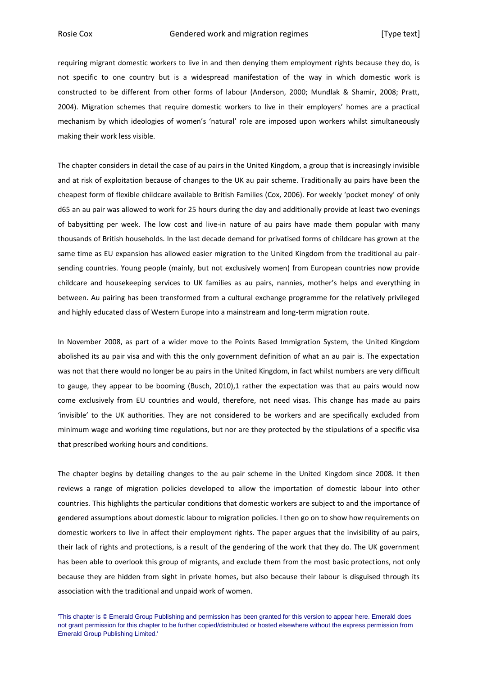requiring migrant domestic workers to live in and then denying them employment rights because they do, is not specific to one country but is a widespread manifestation of the way in which domestic work is constructed to be different from other forms of labour (Anderson, 2000; Mundlak & Shamir, 2008; Pratt, 2004). Migration schemes that require domestic workers to live in their employers' homes are a practical mechanism by which ideologies of women's 'natural' role are imposed upon workers whilst simultaneously making their work less visible.

The chapter considers in detail the case of au pairs in the United Kingdom, a group that is increasingly invisible and at risk of exploitation because of changes to the UK au pair scheme. Traditionally au pairs have been the cheapest form of flexible childcare available to British Families (Cox, 2006). For weekly 'pocket money' of only d65 an au pair was allowed to work for 25 hours during the day and additionally provide at least two evenings of babysitting per week. The low cost and live-in nature of au pairs have made them popular with many thousands of British households. In the last decade demand for privatised forms of childcare has grown at the same time as EU expansion has allowed easier migration to the United Kingdom from the traditional au pairsending countries. Young people (mainly, but not exclusively women) from European countries now provide childcare and housekeeping services to UK families as au pairs, nannies, mother's helps and everything in between. Au pairing has been transformed from a cultural exchange programme for the relatively privileged and highly educated class of Western Europe into a mainstream and long-term migration route.

In November 2008, as part of a wider move to the Points Based Immigration System, the United Kingdom abolished its au pair visa and with this the only government definition of what an au pair is. The expectation was not that there would no longer be au pairs in the United Kingdom, in fact whilst numbers are very difficult to gauge, they appear to be booming (Busch, 2010),1 rather the expectation was that au pairs would now come exclusively from EU countries and would, therefore, not need visas. This change has made au pairs 'invisible' to the UK authorities. They are not considered to be workers and are specifically excluded from minimum wage and working time regulations, but nor are they protected by the stipulations of a specific visa that prescribed working hours and conditions.

The chapter begins by detailing changes to the au pair scheme in the United Kingdom since 2008. It then reviews a range of migration policies developed to allow the importation of domestic labour into other countries. This highlights the particular conditions that domestic workers are subject to and the importance of gendered assumptions about domestic labour to migration policies. I then go on to show how requirements on domestic workers to live in affect their employment rights. The paper argues that the invisibility of au pairs, their lack of rights and protections, is a result of the gendering of the work that they do. The UK government has been able to overlook this group of migrants, and exclude them from the most basic protections, not only because they are hidden from sight in private homes, but also because their labour is disguised through its association with the traditional and unpaid work of women.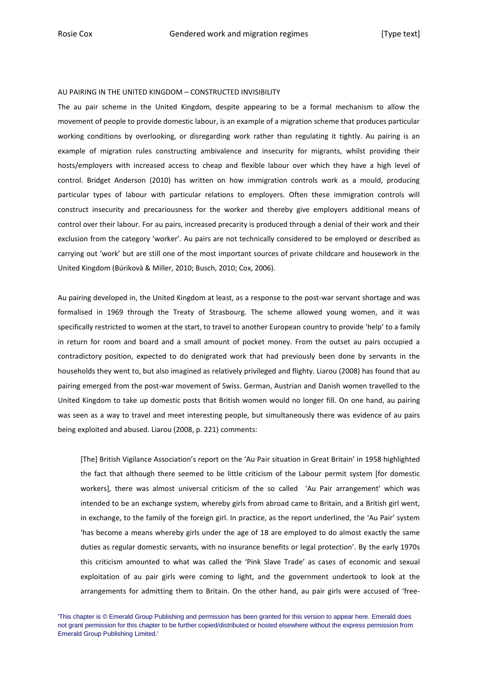#### AU PAIRING IN THE UNITED KINGDOM – CONSTRUCTED INVISIBILITY

The au pair scheme in the United Kingdom, despite appearing to be a formal mechanism to allow the movement of people to provide domestic labour, is an example of a migration scheme that produces particular working conditions by overlooking, or disregarding work rather than regulating it tightly. Au pairing is an example of migration rules constructing ambivalence and insecurity for migrants, whilst providing their hosts/employers with increased access to cheap and flexible labour over which they have a high level of control. Bridget Anderson (2010) has written on how immigration controls work as a mould, producing particular types of labour with particular relations to employers. Often these immigration controls will construct insecurity and precariousness for the worker and thereby give employers additional means of control over their labour. For au pairs, increased precarity is produced through a denial of their work and their exclusion from the category 'worker'. Au pairs are not technically considered to be employed or described as carrying out 'work' but are still one of the most important sources of private childcare and housework in the United Kingdom (Búrikovà & Miller, 2010; Busch, 2010; Cox, 2006).

Au pairing developed in, the United Kingdom at least, as a response to the post-war servant shortage and was formalised in 1969 through the Treaty of Strasbourg. The scheme allowed young women, and it was specifically restricted to women at the start, to travel to another European country to provide 'help' to a family in return for room and board and a small amount of pocket money. From the outset au pairs occupied a contradictory position, expected to do denigrated work that had previously been done by servants in the households they went to, but also imagined as relatively privileged and flighty. Liarou (2008) has found that au pairing emerged from the post-war movement of Swiss. German, Austrian and Danish women travelled to the United Kingdom to take up domestic posts that British women would no longer fill. On one hand, au pairing was seen as a way to travel and meet interesting people, but simultaneously there was evidence of au pairs being exploited and abused. Liarou (2008, p. 221) comments:

[The] British Vigilance Association's report on the 'Au Pair situation in Great Britain' in 1958 highlighted the fact that although there seemed to be little criticism of the Labour permit system [for domestic workers], there was almost universal criticism of the so called 'Au Pair arrangement' which was intended to be an exchange system, whereby girls from abroad came to Britain, and a British girl went, in exchange, to the family of the foreign girl. In practice, as the report underlined, the 'Au Pair' system 'has become a means whereby girls under the age of 18 are employed to do almost exactly the same duties as regular domestic servants, with no insurance benefits or legal protection'. By the early 1970s this criticism amounted to what was called the 'Pink Slave Trade' as cases of economic and sexual exploitation of au pair girls were coming to light, and the government undertook to look at the arrangements for admitting them to Britain. On the other hand, au pair girls were accused of 'free-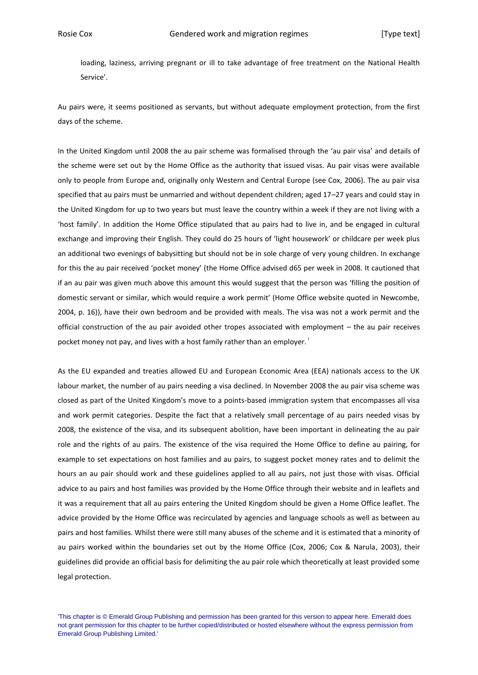loading, laziness, arriving pregnant or ill to take advantage of free treatment on the National Health Service'.

Au pairs were, it seems positioned as servants, but without adequate employment protection, from the first days of the scheme.

In the United Kingdom until 2008 the au pair scheme was formalised through the 'au pair visa' and details of the scheme were set out by the Home Office as the authority that issued visas. Au pair visas were available only to people from Europe and, originally only Western and Central Europe (see Cox, 2006). The au pair visa specified that au pairs must be unmarried and without dependent children; aged 17–27 years and could stay in the United Kingdom for up to two years but must leave the country within a week if they are not living with a 'host family'. In addition the Home Office stipulated that au pairs had to live in, and be engaged in cultural exchange and improving their English. They could do 25 hours of 'light housework' or childcare per week plus an additional two evenings of babysitting but should not be in sole charge of very young children. In exchange for this the au pair received 'pocket money' (the Home Office advised d65 per week in 2008. It cautioned that if an au pair was given much above this amount this would suggest that the person was 'filling the position of domestic servant or similar, which would require a work permit' (Home Office website quoted in Newcombe, 2004, p. 16)), have their own bedroom and be provided with meals. The visa was not a work permit and the official construction of the au pair avoided other tropes associated with employment – the au pair receives pocket money not pay, and lives with a host family rather than an employer.

As the EU expanded and treaties allowed EU and European Economic Area (EEA) nationals access to the UK labour market, the number of au pairs needing a visa declined. In November 2008 the au pair visa scheme was closed as part of the United Kingdom's move to a points-based immigration system that encompasses all visa and work permit categories. Despite the fact that a relatively small percentage of au pairs needed visas by 2008, the existence of the visa, and its subsequent abolition, have been important in delineating the au pair role and the rights of au pairs. The existence of the visa required the Home Office to define au pairing, for example to set expectations on host families and au pairs, to suggest pocket money rates and to delimit the hours an au pair should work and these guidelines applied to all au pairs, not just those with visas. Official advice to au pairs and host families was provided by the Home Office through their website and in leaflets and it was a requirement that all au pairs entering the United Kingdom should be given a Home Office leaflet. The advice provided by the Home Office was recirculated by agencies and language schools as well as between au pairs and host families. Whilst there were still many abuses of the scheme and it is estimated that a minority of au pairs worked within the boundaries set out by the Home Office (Cox, 2006; Cox & Narula, 2003), their guidelines did provide an official basis for delimiting the au pair role which theoretically at least provided some legal protection.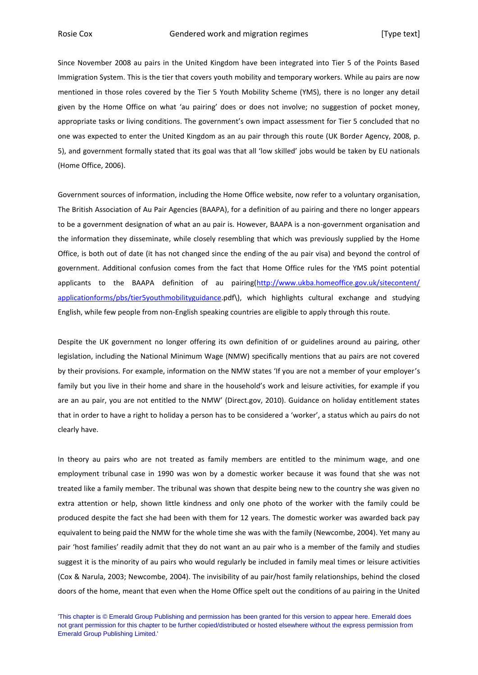Since November 2008 au pairs in the United Kingdom have been integrated into Tier 5 of the Points Based Immigration System. This is the tier that covers youth mobility and temporary workers. While au pairs are now mentioned in those roles covered by the Tier 5 Youth Mobility Scheme (YMS), there is no longer any detail given by the Home Office on what 'au pairing' does or does not involve; no suggestion of pocket money, appropriate tasks or living conditions. The government's own impact assessment for Tier 5 concluded that no one was expected to enter the United Kingdom as an au pair through this route (UK Border Agency, 2008, p. 5), and government formally stated that its goal was that all 'low skilled' jobs would be taken by EU nationals (Home Office, 2006).

Government sources of information, including the Home Office website, now refer to a voluntary organisation, The British Association of Au Pair Agencies (BAAPA), for a definition of au pairing and there no longer appears to be a government designation of what an au pair is. However, BAAPA is a non-government organisation and the information they disseminate, while closely resembling that which was previously supplied by the Home Office, is both out of date (it has not changed since the ending of the au pair visa) and beyond the control of government. Additional confusion comes from the fact that Home Office rules for the YMS point potential applicants to the BAAPA definition of au pairing[\(http://www.ukba.homeoffice.gov.uk/sitecontent/](http://www.ukba.homeoffice.gov.uk/sitecontent/%20applicationforms/pbs/tier5youthmobilityguidance)  [applicationforms/pbs/tier5youthmobilityguidance.](http://www.ukba.homeoffice.gov.uk/sitecontent/%20applicationforms/pbs/tier5youthmobilityguidance)pdf\), which highlights cultural exchange and studying English, while few people from non-English speaking countries are eligible to apply through this route.

Despite the UK government no longer offering its own definition of or guidelines around au pairing, other legislation, including the National Minimum Wage (NMW) specifically mentions that au pairs are not covered by their provisions. For example, information on the NMW states 'If you are not a member of your employer's family but you live in their home and share in the household's work and leisure activities, for example if you are an au pair, you are not entitled to the NMW' (Direct.gov, 2010). Guidance on holiday entitlement states that in order to have a right to holiday a person has to be considered a 'worker', a status which au pairs do not clearly have.

In theory au pairs who are not treated as family members are entitled to the minimum wage, and one employment tribunal case in 1990 was won by a domestic worker because it was found that she was not treated like a family member. The tribunal was shown that despite being new to the country she was given no extra attention or help, shown little kindness and only one photo of the worker with the family could be produced despite the fact she had been with them for 12 years. The domestic worker was awarded back pay equivalent to being paid the NMW for the whole time she was with the family (Newcombe, 2004). Yet many au pair 'host families' readily admit that they do not want an au pair who is a member of the family and studies suggest it is the minority of au pairs who would regularly be included in family meal times or leisure activities (Cox & Narula, 2003; Newcombe, 2004). The invisibility of au pair/host family relationships, behind the closed doors of the home, meant that even when the Home Office spelt out the conditions of au pairing in the United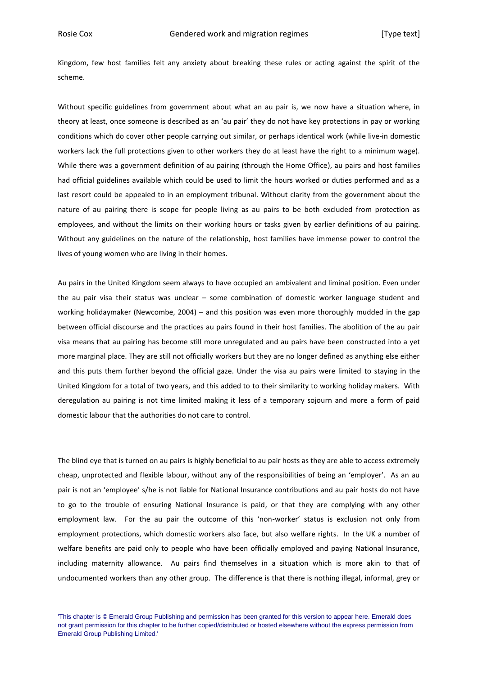Kingdom, few host families felt any anxiety about breaking these rules or acting against the spirit of the scheme.

Without specific guidelines from government about what an au pair is, we now have a situation where, in theory at least, once someone is described as an 'au pair' they do not have key protections in pay or working conditions which do cover other people carrying out similar, or perhaps identical work (while live-in domestic workers lack the full protections given to other workers they do at least have the right to a minimum wage). While there was a government definition of au pairing (through the Home Office), au pairs and host families had official guidelines available which could be used to limit the hours worked or duties performed and as a last resort could be appealed to in an employment tribunal. Without clarity from the government about the nature of au pairing there is scope for people living as au pairs to be both excluded from protection as employees, and without the limits on their working hours or tasks given by earlier definitions of au pairing. Without any guidelines on the nature of the relationship, host families have immense power to control the lives of young women who are living in their homes.

Au pairs in the United Kingdom seem always to have occupied an ambivalent and liminal position. Even under the au pair visa their status was unclear – some combination of domestic worker language student and working holidaymaker (Newcombe, 2004) – and this position was even more thoroughly mudded in the gap between official discourse and the practices au pairs found in their host families. The abolition of the au pair visa means that au pairing has become still more unregulated and au pairs have been constructed into a yet more marginal place. They are still not officially workers but they are no longer defined as anything else either and this puts them further beyond the official gaze. Under the visa au pairs were limited to staying in the United Kingdom for a total of two years, and this added to to their similarity to working holiday makers. With deregulation au pairing is not time limited making it less of a temporary sojourn and more a form of paid domestic labour that the authorities do not care to control.

The blind eye that is turned on au pairs is highly beneficial to au pair hosts as they are able to access extremely cheap, unprotected and flexible labour, without any of the responsibilities of being an 'employer'. As an au pair is not an 'employee' s/he is not liable for National Insurance contributions and au pair hosts do not have to go to the trouble of ensuring National Insurance is paid, or that they are complying with any other employment law. For the au pair the outcome of this 'non-worker' status is exclusion not only from employment protections, which domestic workers also face, but also welfare rights. In the UK a number of welfare benefits are paid only to people who have been officially employed and paying National Insurance, including maternity allowance. Au pairs find themselves in a situation which is more akin to that of undocumented workers than any other group. The difference is that there is nothing illegal, informal, grey or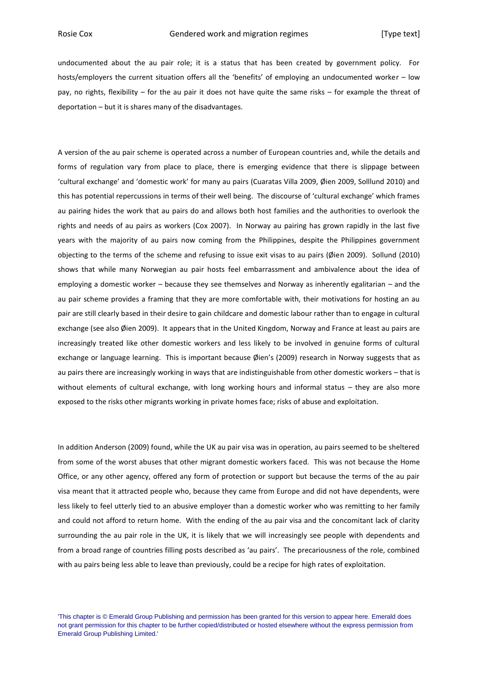undocumented about the au pair role; it is a status that has been created by government policy. For hosts/employers the current situation offers all the 'benefits' of employing an undocumented worker – low pay, no rights, flexibility – for the au pair it does not have quite the same risks – for example the threat of deportation – but it is shares many of the disadvantages.

A version of the au pair scheme is operated across a number of European countries and, while the details and forms of regulation vary from place to place, there is emerging evidence that there is slippage between 'cultural exchange' and 'domestic work' for many au pairs (Cuaratas Villa 2009, Øien 2009, Solllund 2010) and this has potential repercussions in terms of their well being. The discourse of 'cultural exchange' which frames au pairing hides the work that au pairs do and allows both host families and the authorities to overlook the rights and needs of au pairs as workers (Cox 2007). In Norway au pairing has grown rapidly in the last five years with the majority of au pairs now coming from the Philippines, despite the Philippines government objecting to the terms of the scheme and refusing to issue exit visas to au pairs (Øien 2009). Sollund (2010) shows that while many Norwegian au pair hosts feel embarrassment and ambivalence about the idea of employing a domestic worker – because they see themselves and Norway as inherently egalitarian – and the au pair scheme provides a framing that they are more comfortable with, their motivations for hosting an au pair are still clearly based in their desire to gain childcare and domestic labour rather than to engage in cultural exchange (see also Øien 2009). It appears that in the United Kingdom, Norway and France at least au pairs are increasingly treated like other domestic workers and less likely to be involved in genuine forms of cultural exchange or language learning. This is important because Øien's (2009) research in Norway suggests that as au pairs there are increasingly working in ways that are indistinguishable from other domestic workers – that is without elements of cultural exchange, with long working hours and informal status – they are also more exposed to the risks other migrants working in private homes face; risks of abuse and exploitation.

In addition Anderson (2009) found, while the UK au pair visa was in operation, au pairs seemed to be sheltered from some of the worst abuses that other migrant domestic workers faced. This was not because the Home Office, or any other agency, offered any form of protection or support but because the terms of the au pair visa meant that it attracted people who, because they came from Europe and did not have dependents, were less likely to feel utterly tied to an abusive employer than a domestic worker who was remitting to her family and could not afford to return home. With the ending of the au pair visa and the concomitant lack of clarity surrounding the au pair role in the UK, it is likely that we will increasingly see people with dependents and from a broad range of countries filling posts described as 'au pairs'. The precariousness of the role, combined with au pairs being less able to leave than previously, could be a recipe for high rates of exploitation.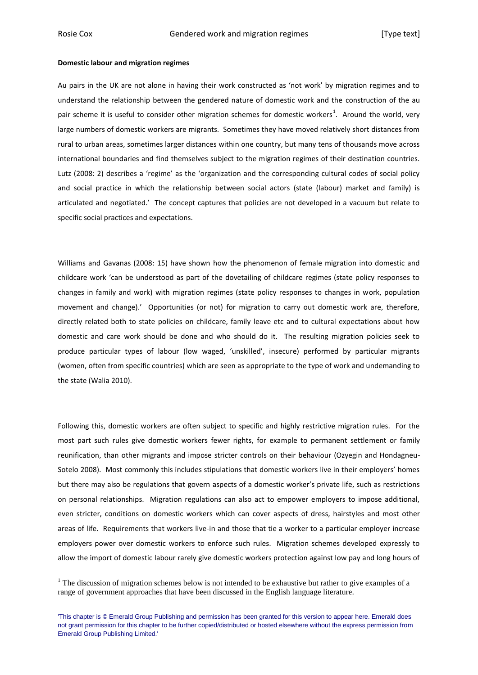1

#### **Domestic labour and migration regimes**

Au pairs in the UK are not alone in having their work constructed as 'not work' by migration regimes and to understand the relationship between the gendered nature of domestic work and the construction of the au pair scheme it is useful to consider other migration schemes for domestic workers<sup>1</sup>. Around the world, very large numbers of domestic workers are migrants. Sometimes they have moved relatively short distances from rural to urban areas, sometimes larger distances within one country, but many tens of thousands move across international boundaries and find themselves subject to the migration regimes of their destination countries. Lutz (2008: 2) describes a 'regime' as the 'organization and the corresponding cultural codes of social policy and social practice in which the relationship between social actors (state (labour) market and family) is articulated and negotiated.' The concept captures that policies are not developed in a vacuum but relate to specific social practices and expectations.

Williams and Gavanas (2008: 15) have shown how the phenomenon of female migration into domestic and childcare work 'can be understood as part of the dovetailing of childcare regimes (state policy responses to changes in family and work) with migration regimes (state policy responses to changes in work, population movement and change).' Opportunities (or not) for migration to carry out domestic work are, therefore, directly related both to state policies on childcare, family leave etc and to cultural expectations about how domestic and care work should be done and who should do it. The resulting migration policies seek to produce particular types of labour (low waged, 'unskilled', insecure) performed by particular migrants (women, often from specific countries) which are seen as appropriate to the type of work and undemanding to the state (Walia 2010).

Following this, domestic workers are often subject to specific and highly restrictive migration rules. For the most part such rules give domestic workers fewer rights, for example to permanent settlement or family reunification, than other migrants and impose stricter controls on their behaviour (Ozyegin and Hondagneu-Sotelo 2008). Most commonly this includes stipulations that domestic workers live in their employers' homes but there may also be regulations that govern aspects of a domestic worker's private life, such as restrictions on personal relationships. Migration regulations can also act to empower employers to impose additional, even stricter, conditions on domestic workers which can cover aspects of dress, hairstyles and most other areas of life. Requirements that workers live-in and those that tie a worker to a particular employer increase employers power over domestic workers to enforce such rules. Migration schemes developed expressly to allow the import of domestic labour rarely give domestic workers protection against low pay and long hours of

 $1$  The discussion of migration schemes below is not intended to be exhaustive but rather to give examples of a range of government approaches that have been discussed in the English language literature.

<sup>&#</sup>x27;This chapter is © Emerald Group Publishing and permission has been granted for this version to appear here. Emerald does not grant permission for this chapter to be further copied/distributed or hosted elsewhere without the express permission from Emerald Group Publishing Limited.'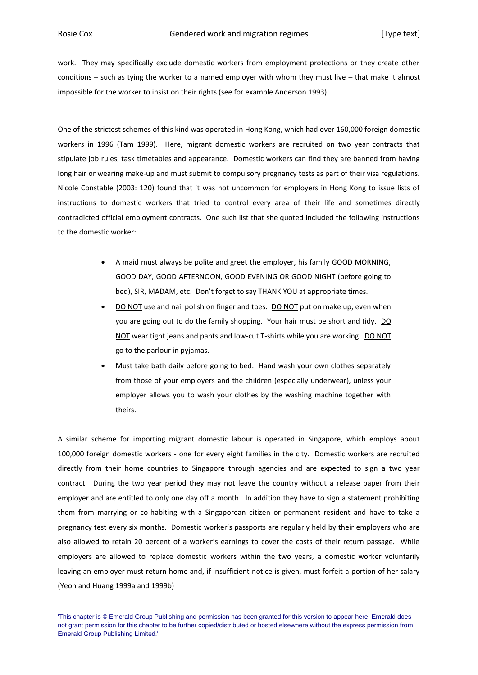work. They may specifically exclude domestic workers from employment protections or they create other conditions – such as tying the worker to a named employer with whom they must live – that make it almost impossible for the worker to insist on their rights (see for example Anderson 1993).

One of the strictest schemes of this kind was operated in Hong Kong, which had over 160,000 foreign domestic workers in 1996 (Tam 1999). Here, migrant domestic workers are recruited on two year contracts that stipulate job rules, task timetables and appearance. Domestic workers can find they are banned from having long hair or wearing make-up and must submit to compulsory pregnancy tests as part of their visa regulations. Nicole Constable (2003: 120) found that it was not uncommon for employers in Hong Kong to issue lists of instructions to domestic workers that tried to control every area of their life and sometimes directly contradicted official employment contracts. One such list that she quoted included the following instructions to the domestic worker:

- A maid must always be polite and greet the employer, his family GOOD MORNING, GOOD DAY, GOOD AFTERNOON, GOOD EVENING OR GOOD NIGHT (before going to bed), SIR, MADAM, etc. Don't forget to say THANK YOU at appropriate times.
- DO NOT use and nail polish on finger and toes. DO NOT put on make up, even when you are going out to do the family shopping. Your hair must be short and tidy. DO NOT wear tight jeans and pants and low-cut T-shirts while you are working. DO NOT go to the parlour in pyjamas.
- Must take bath daily before going to bed. Hand wash your own clothes separately from those of your employers and the children (especially underwear), unless your employer allows you to wash your clothes by the washing machine together with theirs.

A similar scheme for importing migrant domestic labour is operated in Singapore, which employs about 100,000 foreign domestic workers - one for every eight families in the city. Domestic workers are recruited directly from their home countries to Singapore through agencies and are expected to sign a two year contract. During the two year period they may not leave the country without a release paper from their employer and are entitled to only one day off a month. In addition they have to sign a statement prohibiting them from marrying or co-habiting with a Singaporean citizen or permanent resident and have to take a pregnancy test every six months. Domestic worker's passports are regularly held by their employers who are also allowed to retain 20 percent of a worker's earnings to cover the costs of their return passage. While employers are allowed to replace domestic workers within the two years, a domestic worker voluntarily leaving an employer must return home and, if insufficient notice is given, must forfeit a portion of her salary (Yeoh and Huang 1999a and 1999b)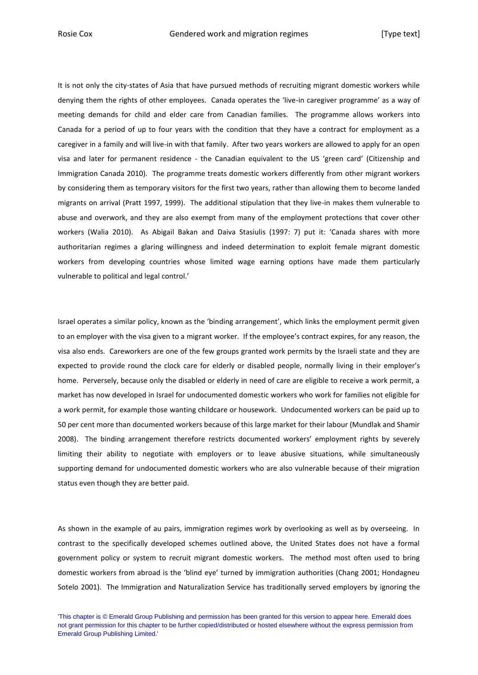It is not only the city-states of Asia that have pursued methods of recruiting migrant domestic workers while denying them the rights of other employees. Canada operates the 'live-in caregiver programme' as a way of meeting demands for child and elder care from Canadian families. The programme allows workers into Canada for a period of up to four years with the condition that they have a contract for employment as a caregiver in a family and will live-in with that family. After two years workers are allowed to apply for an open visa and later for permanent residence - the Canadian equivalent to the US 'green card' (Citizenship and Immigration Canada 2010). The programme treats domestic workers differently from other migrant workers by considering them as temporary visitors for the first two years, rather than allowing them to become landed migrants on arrival (Pratt 1997, 1999). The additional stipulation that they live-in makes them vulnerable to abuse and overwork, and they are also exempt from many of the employment protections that cover other workers (Walia 2010). As Abigail Bakan and Daiva Stasiulis (1997: 7) put it: 'Canada shares with more authoritarian regimes a glaring willingness and indeed determination to exploit female migrant domestic workers from developing countries whose limited wage earning options have made them particularly vulnerable to political and legal control.'

Israel operates a similar policy, known as the 'binding arrangement', which links the employment permit given to an employer with the visa given to a migrant worker. If the employee's contract expires, for any reason, the visa also ends. Careworkers are one of the few groups granted work permits by the Israeli state and they are expected to provide round the clock care for elderly or disabled people, normally living in their employer's home. Perversely, because only the disabled or elderly in need of care are eligible to receive a work permit, a market has now developed in Israel for undocumented domestic workers who work for families not eligible for a work permit, for example those wanting childcare or housework. Undocumented workers can be paid up to 50 per cent more than documented workers because of this large market for their labour (Mundlak and Shamir 2008). The binding arrangement therefore restricts documented workers' employment rights by severely limiting their ability to negotiate with employers or to leave abusive situations, while simultaneously supporting demand for undocumented domestic workers who are also vulnerable because of their migration status even though they are better paid.

As shown in the example of au pairs, immigration regimes work by overlooking as well as by overseeing. In contrast to the specifically developed schemes outlined above, the United States does not have a formal government policy or system to recruit migrant domestic workers. The method most often used to bring domestic workers from abroad is the 'blind eye' turned by immigration authorities (Chang 2001; Hondagneu Sotelo 2001). The Immigration and Naturalization Service has traditionally served employers by ignoring the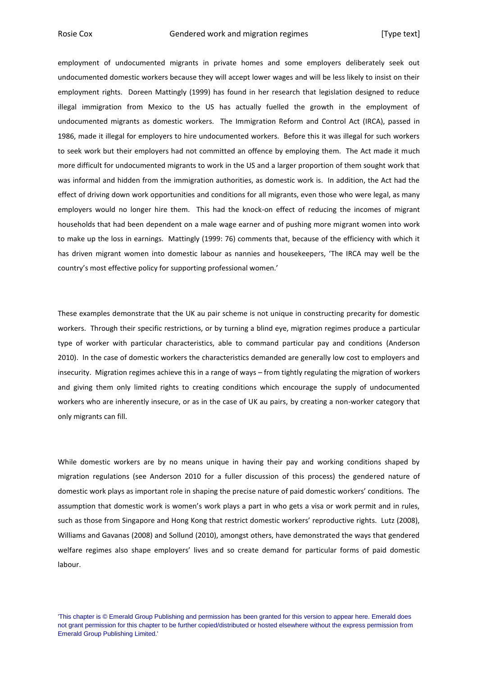employment of undocumented migrants in private homes and some employers deliberately seek out undocumented domestic workers because they will accept lower wages and will be less likely to insist on their employment rights. Doreen Mattingly (1999) has found in her research that legislation designed to reduce illegal immigration from Mexico to the US has actually fuelled the growth in the employment of undocumented migrants as domestic workers. The Immigration Reform and Control Act (IRCA), passed in 1986, made it illegal for employers to hire undocumented workers. Before this it was illegal for such workers to seek work but their employers had not committed an offence by employing them. The Act made it much more difficult for undocumented migrants to work in the US and a larger proportion of them sought work that was informal and hidden from the immigration authorities, as domestic work is. In addition, the Act had the effect of driving down work opportunities and conditions for all migrants, even those who were legal, as many employers would no longer hire them. This had the knock-on effect of reducing the incomes of migrant households that had been dependent on a male wage earner and of pushing more migrant women into work to make up the loss in earnings. Mattingly (1999: 76) comments that, because of the efficiency with which it has driven migrant women into domestic labour as nannies and housekeepers, 'The IRCA may well be the country's most effective policy for supporting professional women.'

These examples demonstrate that the UK au pair scheme is not unique in constructing precarity for domestic workers. Through their specific restrictions, or by turning a blind eye, migration regimes produce a particular type of worker with particular characteristics, able to command particular pay and conditions (Anderson 2010). In the case of domestic workers the characteristics demanded are generally low cost to employers and insecurity. Migration regimes achieve this in a range of ways – from tightly regulating the migration of workers and giving them only limited rights to creating conditions which encourage the supply of undocumented workers who are inherently insecure, or as in the case of UK au pairs, by creating a non-worker category that only migrants can fill.

While domestic workers are by no means unique in having their pay and working conditions shaped by migration regulations (see Anderson 2010 for a fuller discussion of this process) the gendered nature of domestic work plays as important role in shaping the precise nature of paid domestic workers' conditions. The assumption that domestic work is women's work plays a part in who gets a visa or work permit and in rules, such as those from Singapore and Hong Kong that restrict domestic workers' reproductive rights. Lutz (2008), Williams and Gavanas (2008) and Sollund (2010), amongst others, have demonstrated the ways that gendered welfare regimes also shape employers' lives and so create demand for particular forms of paid domestic labour.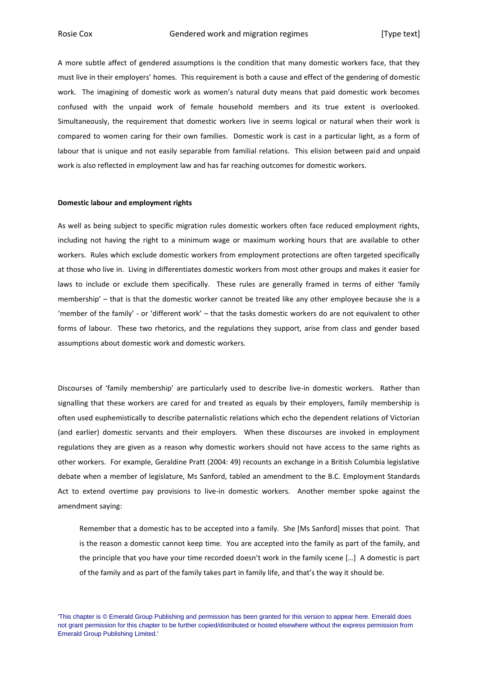A more subtle affect of gendered assumptions is the condition that many domestic workers face, that they must live in their employers' homes. This requirement is both a cause and effect of the gendering of domestic work. The imagining of domestic work as women's natural duty means that paid domestic work becomes confused with the unpaid work of female household members and its true extent is overlooked. Simultaneously, the requirement that domestic workers live in seems logical or natural when their work is compared to women caring for their own families. Domestic work is cast in a particular light, as a form of labour that is unique and not easily separable from familial relations. This elision between paid and unpaid work is also reflected in employment law and has far reaching outcomes for domestic workers.

#### **Domestic labour and employment rights**

As well as being subject to specific migration rules domestic workers often face reduced employment rights, including not having the right to a minimum wage or maximum working hours that are available to other workers. Rules which exclude domestic workers from employment protections are often targeted specifically at those who live in. Living in differentiates domestic workers from most other groups and makes it easier for laws to include or exclude them specifically. These rules are generally framed in terms of either 'family membership' – that is that the domestic worker cannot be treated like any other employee because she is a 'member of the family' - or 'different work' – that the tasks domestic workers do are not equivalent to other forms of labour. These two rhetorics, and the regulations they support, arise from class and gender based assumptions about domestic work and domestic workers.

Discourses of 'family membership' are particularly used to describe live-in domestic workers. Rather than signalling that these workers are cared for and treated as equals by their employers, family membership is often used euphemistically to describe paternalistic relations which echo the dependent relations of Victorian (and earlier) domestic servants and their employers. When these discourses are invoked in employment regulations they are given as a reason why domestic workers should not have access to the same rights as other workers. For example, Geraldine Pratt (2004: 49) recounts an exchange in a British Columbia legislative debate when a member of legislature, Ms Sanford, tabled an amendment to the B.C. Employment Standards Act to extend overtime pay provisions to live-in domestic workers. Another member spoke against the amendment saying:

Remember that a domestic has to be accepted into a family. She [Ms Sanford] misses that point. That is the reason a domestic cannot keep time. You are accepted into the family as part of the family, and the principle that you have your time recorded doesn't work in the family scene [...] A domestic is part of the family and as part of the family takes part in family life, and that's the way it should be.

<sup>&#</sup>x27;This chapter is © Emerald Group Publishing and permission has been granted for this version to appear here. Emerald does not grant permission for this chapter to be further copied/distributed or hosted elsewhere without the express permission from Emerald Group Publishing Limited.'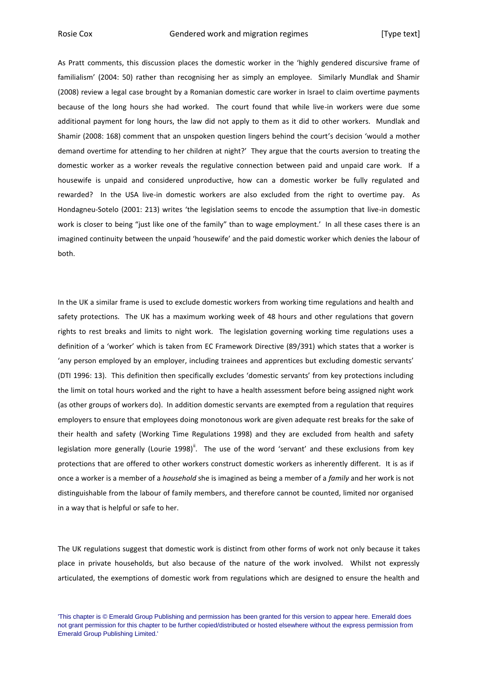As Pratt comments, this discussion places the domestic worker in the 'highly gendered discursive frame of familialism' (2004: 50) rather than recognising her as simply an employee. Similarly Mundlak and Shamir (2008) review a legal case brought by a Romanian domestic care worker in Israel to claim overtime payments because of the long hours she had worked. The court found that while live-in workers were due some additional payment for long hours, the law did not apply to them as it did to other workers. Mundlak and Shamir (2008: 168) comment that an unspoken question lingers behind the court's decision 'would a mother demand overtime for attending to her children at night?' They argue that the courts aversion to treating the domestic worker as a worker reveals the regulative connection between paid and unpaid care work. If a housewife is unpaid and considered unproductive, how can a domestic worker be fully regulated and rewarded? In the USA live-in domestic workers are also excluded from the right to overtime pay. As Hondagneu-Sotelo (2001: 213) writes 'the legislation seems to encode the assumption that live-in domestic work is closer to being "just like one of the family" than to wage employment.' In all these cases there is an imagined continuity between the unpaid 'housewife' and the paid domestic worker which denies the labour of both.

In the UK a similar frame is used to exclude domestic workers from working time regulations and health and safety protections. The UK has a maximum working week of 48 hours and other regulations that govern rights to rest breaks and limits to night work. The legislation governing working time regulations uses a definition of a 'worker' which is taken from EC Framework Directive (89/391) which states that a worker is 'any person employed by an employer, including trainees and apprentices but excluding domestic servants' (DTI 1996: 13). This definition then specifically excludes 'domestic servants' from key protections including the limit on total hours worked and the right to have a health assessment before being assigned night work (as other groups of workers do). In addition domestic servants are exempted from a regulation that requires employers to ensure that employees doing monotonous work are given adequate rest breaks for the sake of their health and safety (Working Time Regulations 1998) and they are excluded from health and safety legislation more generally (Lourie 1998)<sup>ii</sup>. The use of the word 'servant' and these exclusions from key protections that are offered to other workers construct domestic workers as inherently different. It is as if once a worker is a member of a *household* she is imagined as being a member of a *family* and her work is not distinguishable from the labour of family members, and therefore cannot be counted, limited nor organised in a way that is helpful or safe to her.

The UK regulations suggest that domestic work is distinct from other forms of work not only because it takes place in private households, but also because of the nature of the work involved. Whilst not expressly articulated, the exemptions of domestic work from regulations which are designed to ensure the health and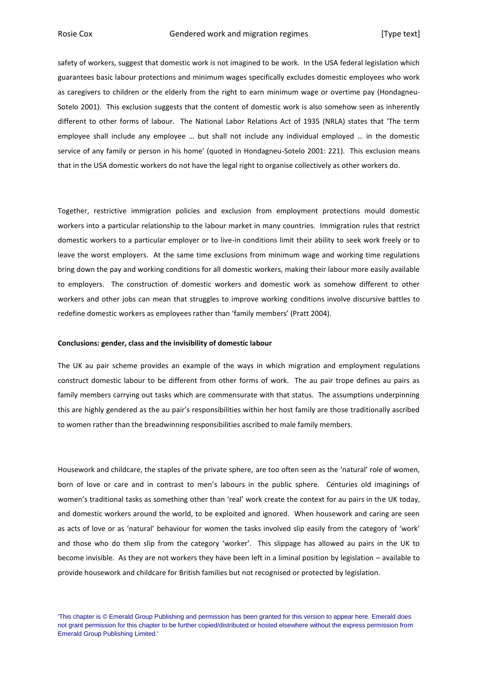safety of workers, suggest that domestic work is not imagined to be work. In the USA federal legislation which guarantees basic labour protections and minimum wages specifically excludes domestic employees who work as caregivers to children or the elderly from the right to earn minimum wage or overtime pay (Hondagneu-Sotelo 2001). This exclusion suggests that the content of domestic work is also somehow seen as inherently different to other forms of labour. The National Labor Relations Act of 1935 (NRLA) states that 'The term employee shall include any employee … but shall not include any individual employed … in the domestic service of any family or person in his home' (quoted in Hondagneu-Sotelo 2001: 221). This exclusion means that in the USA domestic workers do not have the legal right to organise collectively as other workers do.

Together, restrictive immigration policies and exclusion from employment protections mould domestic workers into a particular relationship to the labour market in many countries. Immigration rules that restrict domestic workers to a particular employer or to live-in conditions limit their ability to seek work freely or to leave the worst employers. At the same time exclusions from minimum wage and working time regulations bring down the pay and working conditions for all domestic workers, making their labour more easily available to employers. The construction of domestic workers and domestic work as somehow different to other workers and other jobs can mean that struggles to improve working conditions involve discursive battles to redefine domestic workers as employees rather than 'family members' (Pratt 2004).

#### **Conclusions: gender, class and the invisibility of domestic labour**

The UK au pair scheme provides an example of the ways in which migration and employment regulations construct domestic labour to be different from other forms of work. The au pair trope defines au pairs as family members carrying out tasks which are commensurate with that status. The assumptions underpinning this are highly gendered as the au pair's responsibilities within her host family are those traditionally ascribed to women rather than the breadwinning responsibilities ascribed to male family members.

Housework and childcare, the staples of the private sphere, are too often seen as the 'natural' role of women, born of love or care and in contrast to men's labours in the public sphere. Centuries old imaginings of women's traditional tasks as something other than 'real' work create the context for au pairs in the UK today, and domestic workers around the world, to be exploited and ignored. When housework and caring are seen as acts of love or as 'natural' behaviour for women the tasks involved slip easily from the category of 'work' and those who do them slip from the category 'worker'. This slippage has allowed au pairs in the UK to become invisible. As they are not workers they have been left in a liminal position by legislation – available to provide housework and childcare for British families but not recognised or protected by legislation.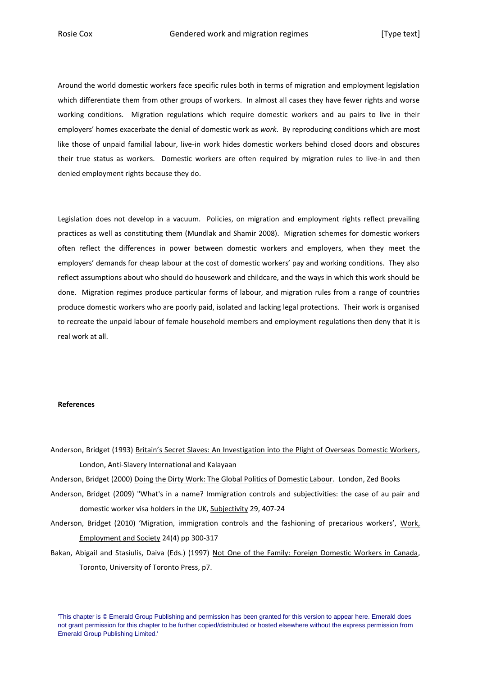Around the world domestic workers face specific rules both in terms of migration and employment legislation which differentiate them from other groups of workers. In almost all cases they have fewer rights and worse working conditions. Migration regulations which require domestic workers and au pairs to live in their employers' homes exacerbate the denial of domestic work as *work*. By reproducing conditions which are most like those of unpaid familial labour, live-in work hides domestic workers behind closed doors and obscures their true status as workers. Domestic workers are often required by migration rules to live-in and then denied employment rights because they do.

Legislation does not develop in a vacuum. Policies, on migration and employment rights reflect prevailing practices as well as constituting them (Mundlak and Shamir 2008). Migration schemes for domestic workers often reflect the differences in power between domestic workers and employers, when they meet the employers' demands for cheap labour at the cost of domestic workers' pay and working conditions. They also reflect assumptions about who should do housework and childcare, and the ways in which this work should be done. Migration regimes produce particular forms of labour, and migration rules from a range of countries produce domestic workers who are poorly paid, isolated and lacking legal protections. Their work is organised to recreate the unpaid labour of female household members and employment regulations then deny that it is real work at all.

#### **References**

- Anderson, Bridget (1993) Britain's Secret Slaves: An Investigation into the Plight of Overseas Domestic Workers, London, Anti-Slavery International and Kalayaan
- Anderson, Bridget (2000) Doing the Dirty Work: The Global Politics of Domestic Labour. London, Zed Books
- Anderson, Bridget (2009) "What's in a name? Immigration controls and subjectivities: the case of au pair and domestic worker visa holders in the UK, Subjectivity 29, 407-24
- Anderson, Bridget (2010) 'Migration, immigration controls and the fashioning of precarious workers', Work, Employment and Society 24(4) pp 300-317
- Bakan, Abigail and Stasiulis, Daiva (Eds.) (1997) Not One of the Family: Foreign Domestic Workers in Canada, Toronto, University of Toronto Press, p7.

<sup>&#</sup>x27;This chapter is © Emerald Group Publishing and permission has been granted for this version to appear here. Emerald does not grant permission for this chapter to be further copied/distributed or hosted elsewhere without the express permission from Emerald Group Publishing Limited.'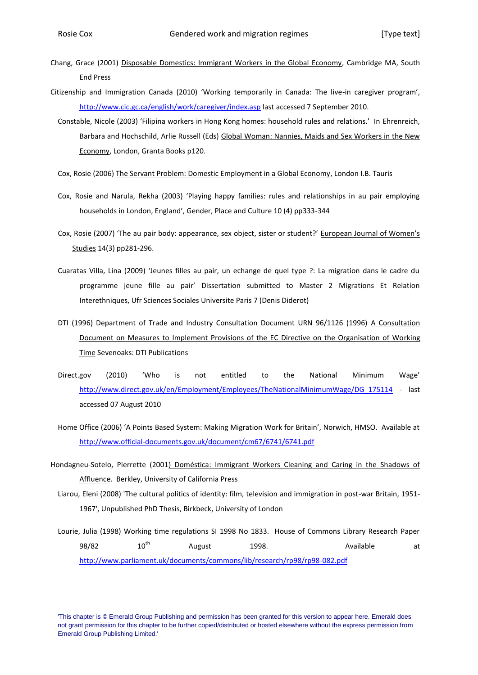- Chang, Grace (2001) Disposable Domestics: Immigrant Workers in the Global Economy, Cambridge MA, South End Press
- Citizenship and Immigration Canada (2010) 'Working temporarily in Canada: The live-in caregiver program', <http://www.cic.gc.ca/english/work/caregiver/index.asp> last accessed 7 September 2010.
	- Constable, Nicole (2003) 'Filipina workers in Hong Kong homes: household rules and relations.' In Ehrenreich, Barbara and Hochschild, Arlie Russell (Eds) Global Woman: Nannies, Maids and Sex Workers in the New Economy, London, Granta Books p120.

Cox, Rosie (2006) The Servant Problem: Domestic Employment in a Global Economy, London I.B. Tauris

- Cox, Rosie and Narula, Rekha (2003) 'Playing happy families: rules and relationships in au pair employing households in London, England', Gender, Place and Culture 10 (4) pp333-344
- Cox, Rosie (2007) 'The au pair body: appearance, sex object, sister or student?' European Journal of Women's Studies 14(3) pp281-296.
- Cuaratas Villa, Lina (2009) 'Jeunes filles au pair, un echange de quel type ?: La migration dans le cadre du programme jeune fille au pair' Dissertation submitted to Master 2 Migrations Et Relation Interethniques, Ufr Sciences Sociales Universite Paris 7 (Denis Diderot)
- DTI (1996) Department of Trade and Industry Consultation Document URN 96/1126 (1996) A Consultation Document on Measures to Implement Provisions of the EC Directive on the Organisation of Working Time Sevenoaks: DTI Publications
- Direct.gov (2010) 'Who is not entitled to the National Minimum Wage' [http://www.direct.gov.uk/en/Employment/Employees/TheNationalMinimumWage/DG\\_175114](http://www.direct.gov.uk/en/Employment/Employees/TheNationalMinimumWage/DG_175114) - last accessed 07 August 2010
- Home Office (2006) 'A Points Based System: Making Migration Work for Britain', Norwich, HMSO. Available at <http://www.official-documents.gov.uk/document/cm67/6741/6741.pdf>
- Hondagneu-Sotelo, Pierrette (2001) Doméstica: Immigrant Workers Cleaning and Caring in the Shadows of Affluence. Berkley, University of California Press
	- Liarou, Eleni (2008) 'The cultural politics of identity: film, television and immigration in post-war Britain, 1951- 1967', Unpublished PhD Thesis, Birkbeck, University of London
	- Lourie, Julia (1998) Working time regulations SI 1998 No 1833. House of Commons Library Research Paper 98/82 10<sup>th</sup> August 1998. Available at <http://www.parliament.uk/documents/commons/lib/research/rp98/rp98-082.pdf>

<sup>&#</sup>x27;This chapter is © Emerald Group Publishing and permission has been granted for this version to appear here. Emerald does not grant permission for this chapter to be further copied/distributed or hosted elsewhere without the express permission from Emerald Group Publishing Limited.'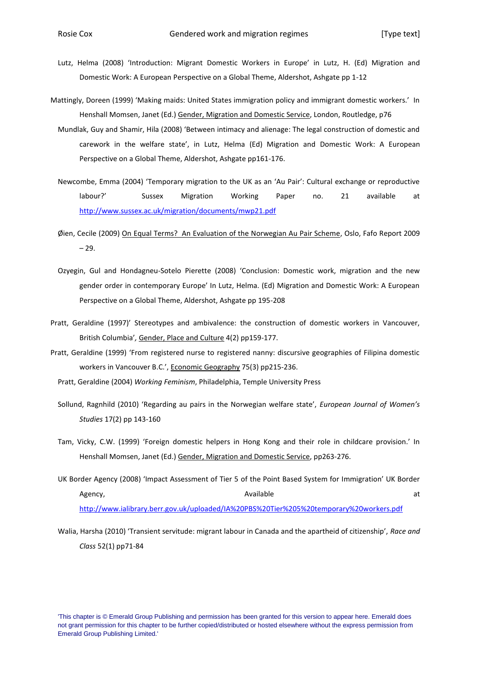- Lutz, Helma (2008) 'Introduction: Migrant Domestic Workers in Europe' in Lutz, H. (Ed) Migration and Domestic Work: A European Perspective on a Global Theme, Aldershot, Ashgate pp 1-12
- Mattingly, Doreen (1999) 'Making maids: United States immigration policy and immigrant domestic workers.' In Henshall Momsen, Janet (Ed.) Gender, Migration and Domestic Service, London, Routledge, p76
	- Mundlak, Guy and Shamir, Hila (2008) 'Between intimacy and alienage: The legal construction of domestic and carework in the welfare state', in Lutz, Helma (Ed) Migration and Domestic Work: A European Perspective on a Global Theme, Aldershot, Ashgate pp161-176.
	- Newcombe, Emma (2004) 'Temporary migration to the UK as an 'Au Pair': Cultural exchange or reproductive labour?' Sussex Migration Working Paper no. 21 available at <http://www.sussex.ac.uk/migration/documents/mwp21.pdf>
	- Øien, Cecile (2009) On Equal Terms? An Evaluation of the Norwegian Au Pair Scheme, Oslo, Fafo Report 2009 – 29.
	- Ozyegin, Gul and Hondagneu-Sotelo Pierette (2008) 'Conclusion: Domestic work, migration and the new gender order in contemporary Europe' In Lutz, Helma. (Ed) Migration and Domestic Work: A European Perspective on a Global Theme, Aldershot, Ashgate pp 195-208
- Pratt, Geraldine (1997)' Stereotypes and ambivalence: the construction of domestic workers in Vancouver, British Columbia'*,* Gender, Place and Culture 4(2) pp159-177.
- Pratt, Geraldine (1999) 'From registered nurse to registered nanny: discursive geographies of Filipina domestic workers in Vancouver B.C.', Economic Geography 75(3) pp215-236.

Pratt, Geraldine (2004) *Working Feminism*, Philadelphia, Temple University Press

- Sollund, Ragnhild (2010) 'Regarding au pairs in the Norwegian welfare state', *European Journal of Women's Studies* 17(2) pp 143-160
- Tam, Vicky, C.W. (1999) 'Foreign domestic helpers in Hong Kong and their role in childcare provision.' In Henshall Momsen, Janet (Ed.) Gender, Migration and Domestic Service, pp263-276.
- UK Border Agency (2008) 'Impact Assessment of Tier 5 of the Point Based System for Immigration' UK Border Agency, and the contract of the contract of the contract of the contract of the contract of the contract of the contract of the contract of the contract of the contract of the contract of the contract of the contract of th <http://www.ialibrary.berr.gov.uk/uploaded/IA%20PBS%20Tier%205%20temporary%20workers.pdf>
- Walia, Harsha (2010) 'Transient servitude: migrant labour in Canada and the apartheid of citizenship', *Race and Class* 52(1) pp71-84

<sup>&#</sup>x27;This chapter is © Emerald Group Publishing and permission has been granted for this version to appear here. Emerald does not grant permission for this chapter to be further copied/distributed or hosted elsewhere without the express permission from Emerald Group Publishing Limited.'